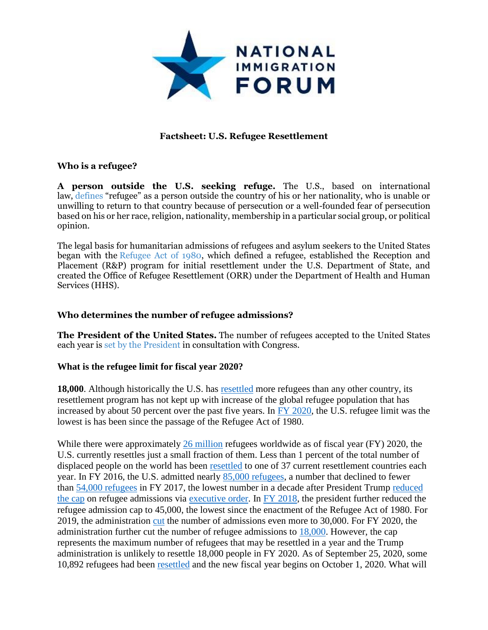

# **Factsheet: U.S. Refugee Resettlement**

## **Who is a refugee?**

**A person outside the U.S. seeking refuge.** The U.S., based on international law, [defines](https://www.dhs.gov/xlibrary/assets/training/xus/crcl/asylumseekers/crcl_asylum/pdfs/Immigration%20and%20Nationality%20Act%20101(a)(42).pdf) "refugee" as a person outside the country of his or her nationality, who is unable or unwilling to return to that country because of persecution or a well-founded fear of persecution based on his or her race, religion, nationality, membership in a particular social group, or political opinion.

The legal basis for humanitarian admissions of refugees and asylum seekers to the United States began with the [Refugee Act of 1980,](http://www.gpo.gov/fdsys/pkg/STATUTE-94/pdf/STATUTE-94-Pg102.pdf) which defined a refugee, established the Reception and Placement (R&P) program for initial resettlement under the U.S. Department of State, and created the Office of Refugee Resettlement (ORR) under the Department of Health and Human Services (HHS).

## **Who determines the number of refugee admissions?**

**The President of the United States.** The number of refugees accepted to the United States each year is [set by the President](http://www.state.gov/documents/organization/232029.pdf) in consultation with Congress.

## **What is the refugee limit for fiscal year 2020?**

**18,000**. Although historically the U.S. has [resettled](http://www.pewglobal.org/2017/10/12/u-s-resettles-fewer-refugees-even-as-global-number-of-displaced-people-grows/) more refugees than any other country, its resettlement program has not kept up with increase of the global refugee population that has increased by about 50 percent over the past five years. In [FY 2020,](https://www.whitehouse.gov/presidential-actions/presidential-determination-refugee-admissions-fiscal-year-2020/) the U.S. refugee limit was the lowest is has been since the passage of the Refugee Act of 1980.

While there were approximately [26 million](https://www.unhcr.org/en-us/figures-at-a-glance.html) refugees worldwide as of fiscal year (FY) 2020, the U.S. currently resettles just a small fraction of them. Less than 1 percent of the total number of displaced people on the world has been [resettled](https://www.unhcr.org/information-on-unhcr-resettlement.html) to one of 37 current resettlement countries each year. In FY 2016, the U.S. admitted nearly 85,000 [refugees,](https://www.dhs.gov/sites/default/files/publications/2016%20Yearbook%20of%20Immigration%20Statistics.pdf) a number that declined to fewer than [54,000 refugees](https://www.migrationpolicy.org/article/top-10-2017-issue-6-wake-cuts-us-refugee-program-global-resettlement-falls-short) in FY 2017, the lowest number in a decade after President Trump [reduced](http://www.pewresearch.org/fact-tank/2017/01/30/key-facts-about-refugees-to-the-u-s/)  [the cap](http://www.pewresearch.org/fact-tank/2017/01/30/key-facts-about-refugees-to-the-u-s/) on refugee admissions via [executive order.](https://www.whitehouse.gov/presidential-actions/executive-order-protecting-nation-foreign-terrorist-entry-united-states/) In [FY 2018,](https://www.federalregister.gov/documents/2017/10/23/2017-23140/presidential-determination-on-refugee-admissions-for-fiscal-year-2018) the president further reduced the refugee admission cap to 45,000, the lowest since the enactment of the Refugee Act of 1980. For 2019, the administration [cut](https://www.whitehouse.gov/presidential-actions/presidential-memorandum-secretary-state-13/) the number of admissions even more to 30,000. For FY 2020, the administration further cut the number of refugee admissions to [18,000.](https://www.whitehouse.gov/presidential-actions/presidential-determination-refugee-admissions-fiscal-year-2020/) However, the cap represents the maximum number of refugees that may be resettled in a year and the Trump administration is unlikely to resettle 18,000 people in FY 2020. As of September 25, 2020, some 10,892 refugees had been [resettled](https://www.wrapsnet.org/admissions-and-arrivals/) and the new fiscal year begins on October 1, 2020. What will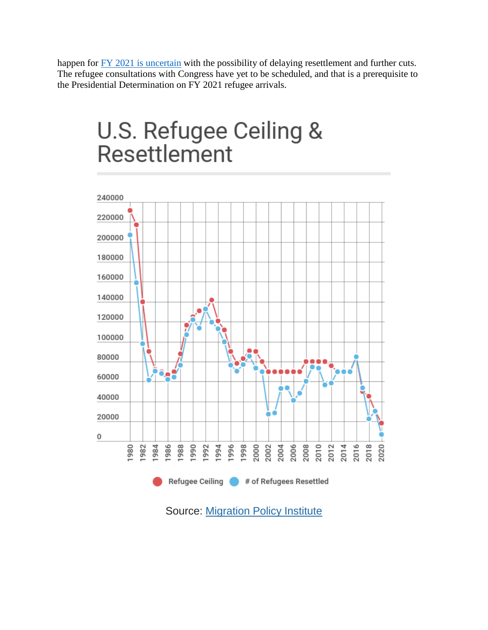happen for [FY 2021 is uncertain](https://www.reuters.com/article/us-usa-immigration-refugees-exclusive/exclusive-trump-administration-considers-postponing-refugee-admissions-u-s-official-says-idUSKBN2612SO) with the possibility of delaying resettlement and further cuts. The refugee consultations with Congress have yet to be scheduled, and that is a prerequisite to the Presidential Determination on FY 2021 refugee arrivals.

# U.S. Refugee Ceiling & Resettlement



Source: [Migration Policy Institute](https://www.migrationpolicy.org/programs/data-hub/charts/us-annual-refugee-resettlement-ceilings-and-number-refugees-admitted-united)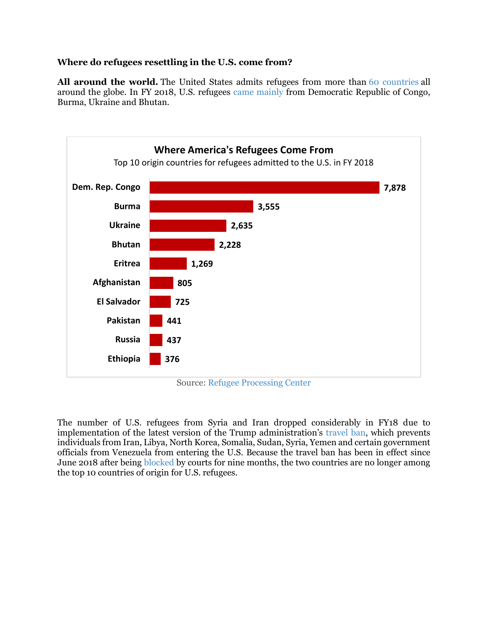# **Where do refugees resettling in the U.S. come from?**

**All around the world.** The United States admits refugees from more than [60 countries](https://www.dhs.gov/immigration-statistics/yearbook/2016/table14) all around the globe. In FY 2018, U.S. refugees [came mainly](http://ireports.wrapsnet.org/) from Democratic Republic of Congo, Burma, Ukraine and Bhutan.



Source: [Refugee Processing Center](http://ireports.wrapsnet.org/)

The number of U.S. refugees from Syria and Iran dropped considerably in FY18 due to implementation of the latest version of the Trump administration's [travel ban,](https://www.whitehouse.gov/presidential-actions/presidential-proclamation-enhancing-vetting-capabilities-processes-detecting-attempted-entry-united-states-terrorists-public-safety-threats/) which prevents individuals from Iran, Libya, North Korea, Somalia, Sudan, Syria, Yemen and certain government officials from Venezuela from entering the U.S. Because the travel ban has been in effect since June 2018 after being [blocked](https://www.aclu-wa.org/pages/timeline-muslim-ban) by courts for nine months, the two countries are no longer among the top 10 countries of origin for U.S. refugees.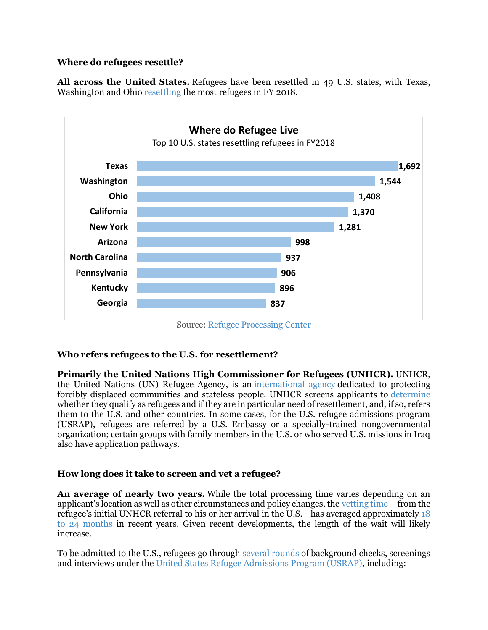# **Where do refugees resettle?**

**All across the United States.** Refugees have been resettled in 49 U.S. states, with Texas, Washington and Ohio [resettling](http://www.unhcr.org/en-us/us-refugee-resettlement-facts.html) the most refugees in FY 2018.



Source: [Refugee Processing Center](http://ireports.wrapsnet.org/Interactive-Reporting/EnumType/Report?ItemPath=/rpt_WebArrivalsReports/Map%20-%20Arrivals%20by%20State%20and%20Nationality)

# **Who refers refugees to the U.S. for resettlement?**

**Primarily the United Nations High Commissioner for Refugees (UNHCR).** UNHCR, the United Nations (UN) Refugee Agency, is an [international agency](http://www.unhcr.org/en-us/about-us.html) dedicated to protecting forcibly displaced communities and stateless people. UNHCR screens applicants to [determine](https://www.worldrelief.org/blog/who-is-a-refugee-and-what-do-they-go-through-to-get-to-the-u-s) whether they qualify as refugees and if they are in particular need of resettlement, and, if so, refers them to the U.S. and other countries. In some cases, for the U.S. refugee admissions program (USRAP), refugees are referred by a U.S. Embassy or a specially-trained nongovernmental organization; certain groups with family members in the U.S. or who served U.S. missions in Iraq also have application pathways.

# **How long does it take to screen and vet a refugee?**

**An average of nearly two years.** While the total processing time varies depending on an applicant's location as well as other circumstances and policy changes, the [vetting time](https://www.state.gov/j/prm/ra/admissions/index.htm) – from the refugee's initial UNHCR referral to his or her arrival in the U.S. –has averaged approximately [18](https://refugees.org/explore-the-issues/our-work-with-refugees/security-screening/)  [to 24 months](https://refugees.org/explore-the-issues/our-work-with-refugees/security-screening/) in recent years. Given recent developments, the length of the wait will likely increase.

To be admitted to the U.S., refugees go through [several rounds](https://www.worldrelief.org/blog/who-is-a-refugee-and-what-do-they-go-through-to-get-to-the-u-s) of background checks, screenings and interviews under the [United States Refugee Admissions Program \(USRAP\),](https://www.state.gov/j/prm/ra/admissions/index.htm) including: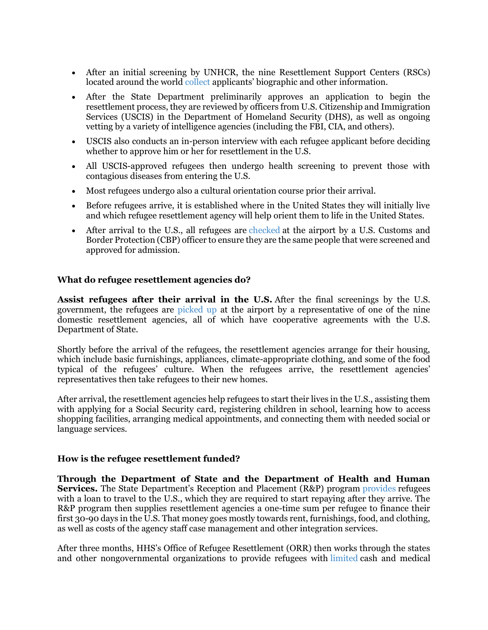- After an initial screening by UNHCR, the nine Resettlement Support Centers (RSCs) located around the world [collect](https://www.state.gov/j/prm/ra/admissions/) applicants' biographic and other information.
- After the State Department preliminarily approves an application to begin the resettlement process, they are reviewed by officers from U.S. Citizenship and Immigration Services (USCIS) in the Department of Homeland Security (DHS), as well as ongoing vetting by a variety of intelligence agencies (including the FBI, CIA, and others).
- USCIS also conducts an in-person interview with each refugee applicant before deciding whether to approve him or her for resettlement in the U.S.
- All USCIS-approved refugees then undergo health screening to prevent those with contagious diseases from entering the U.S.
- Most refugees undergo also a cultural orientation course prior their arrival.
- Before refugees arrive, it is established where in the United States they will initially live and which refugee resettlement agency will help orient them to life in the United States.
- After arrival to the U.S., all refugees are [checked](https://www.worldrelief.org/blog/who-is-a-refugee-and-what-do-they-go-through-to-get-to-the-u-s) at the airport by a U.S. Customs and Border Protection (CBP) officer to ensure they are the same people that were screened and approved for admission.

#### **What do refugee resettlement agencies do?**

**Assist refugees after their arrival in the U.S.** After the final screenings by the U.S. government, the refugees are [picked up](https://www.unhcr.org/us-resettlement-agencies.html) at the airport by a representative of one of the nine domestic resettlement agencies, all of which have cooperative agreements with the U.S. Department of State.

Shortly before the arrival of the refugees, the resettlement agencies arrange for their housing, which include basic furnishings, appliances, climate-appropriate clothing, and some of the food typical of the refugees' culture. When the refugees arrive, the resettlement agencies' representatives then take refugees to their new homes.

After arrival, the resettlement agencies help refugees to start their lives in the U.S., assisting them with applying for a Social Security card, registering children in school, learning how to access shopping facilities, arranging medical appointments, and connecting them with needed social or language services.

#### **How is the refugee resettlement funded?**

**Through the Department of State and the Department of Health and Human Services.** The State Department's Reception and Placement (R&P) program [provides](https://www.state.gov/j/prm/ra/receptionplacement/index.htm) refugees with a loan to travel to the U.S., which they are required to start repaying after they arrive. The R&P program then supplies resettlement agencies a one-time sum per refugee to finance their first 30-90 days in the U.S. That money goes mostly towards rent, furnishings, food, and clothing, as well as costs of the agency staff case management and other integration services.

After three months, HHS's Office of Refugee Resettlement (ORR) then works through the states and other nongovernmental organizations to provide refugees with [limited](https://www.state.gov/j/prm/ra/receptionplacement/index.htm) cash and medical